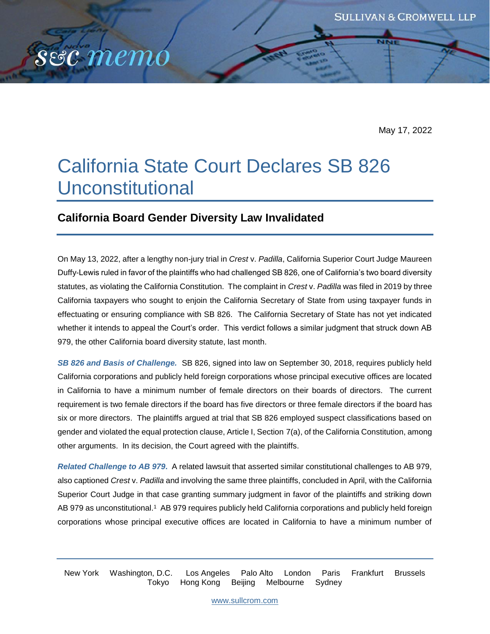May 17, 2022

# California State Court Declares SB 826 Unconstitutional

## **California Board Gender Diversity Law Invalidated**

sec memo

On May 13, 2022, after a lengthy non-jury trial in *Crest* v. *Padilla*, California Superior Court Judge Maureen Duffy-Lewis ruled in favor of the plaintiffs who had challenged SB 826, one of California's two board diversity statutes, as violating the California Constitution. The complaint in *Crest* v. *Padilla* was filed in 2019 by three California taxpayers who sought to enjoin the California Secretary of State from using taxpayer funds in effectuating or ensuring compliance with SB 826. The California Secretary of State has not yet indicated whether it intends to appeal the Court's order. This verdict follows a similar judgment that struck down AB 979, the other California board diversity statute, last month.

*SB 826 and Basis of Challenge.* SB 826, signed into law on September 30, 2018, requires publicly held California corporations and publicly held foreign corporations whose principal executive offices are located in California to have a minimum number of female directors on their boards of directors. The current requirement is two female directors if the board has five directors or three female directors if the board has six or more directors. The plaintiffs argued at trial that SB 826 employed suspect classifications based on gender and violated the equal protection clause, Article I, Section 7(a), of the California Constitution, among other arguments. In its decision, the Court agreed with the plaintiffs.

*Related Challenge to AB 979***.**A related lawsuit that asserted similar constitutional challenges to AB 979, also captioned *Crest* v. *Padilla* and involving the same three plaintiffs, concluded in April, with the California Superior Court Judge in that case granting summary judgment in favor of the plaintiffs and striking down AB 979 as unconstitutional.<sup>1</sup> AB 979 requires publicly held California corporations and publicly held foreign corporations whose principal executive offices are located in California to have a minimum number of

New York Washington, D.C. Los Angeles Palo Alto London Paris Frankfurt Brussels Tokyo Hong Kong Beijing Melbourne Sydney

[www.sullcrom.com](http://www.sullcrom.com/)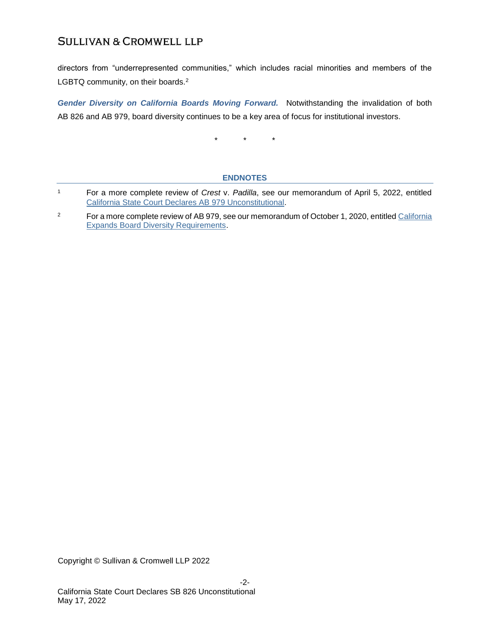# **SULLIVAN & CROMWELL LLP**

directors from "underrepresented communities," which includes racial minorities and members of the LGBTQ community, on their boards.<sup>2</sup>

*Gender Diversity on California Boards Moving Forward.* Notwithstanding the invalidation of both AB 826 and AB 979, board diversity continues to be a key area of focus for institutional investors.

\* \* \*

#### **ENDNOTES**

- <sup>1</sup> For a more complete review of *Crest* v. *Padilla*, see our memorandum of April 5, 2022, entitled [California State Court Declares AB 979 Unconstitutional.](https://www.sullcrom.com/files/upload/sc-publication-california-state-court-declares-ab-979-unconstitutional.pdf)
- <sup>2</sup> For a more complete review of AB 979, see our memorandum of October 1, 2020, entitled California [Expands Board Diversity Requirements.](https://www.sullcrom.com/files/upload/sc-publication-california-expands-diversity-requirements.pdf)

Copyright © Sullivan & Cromwell LLP 2022